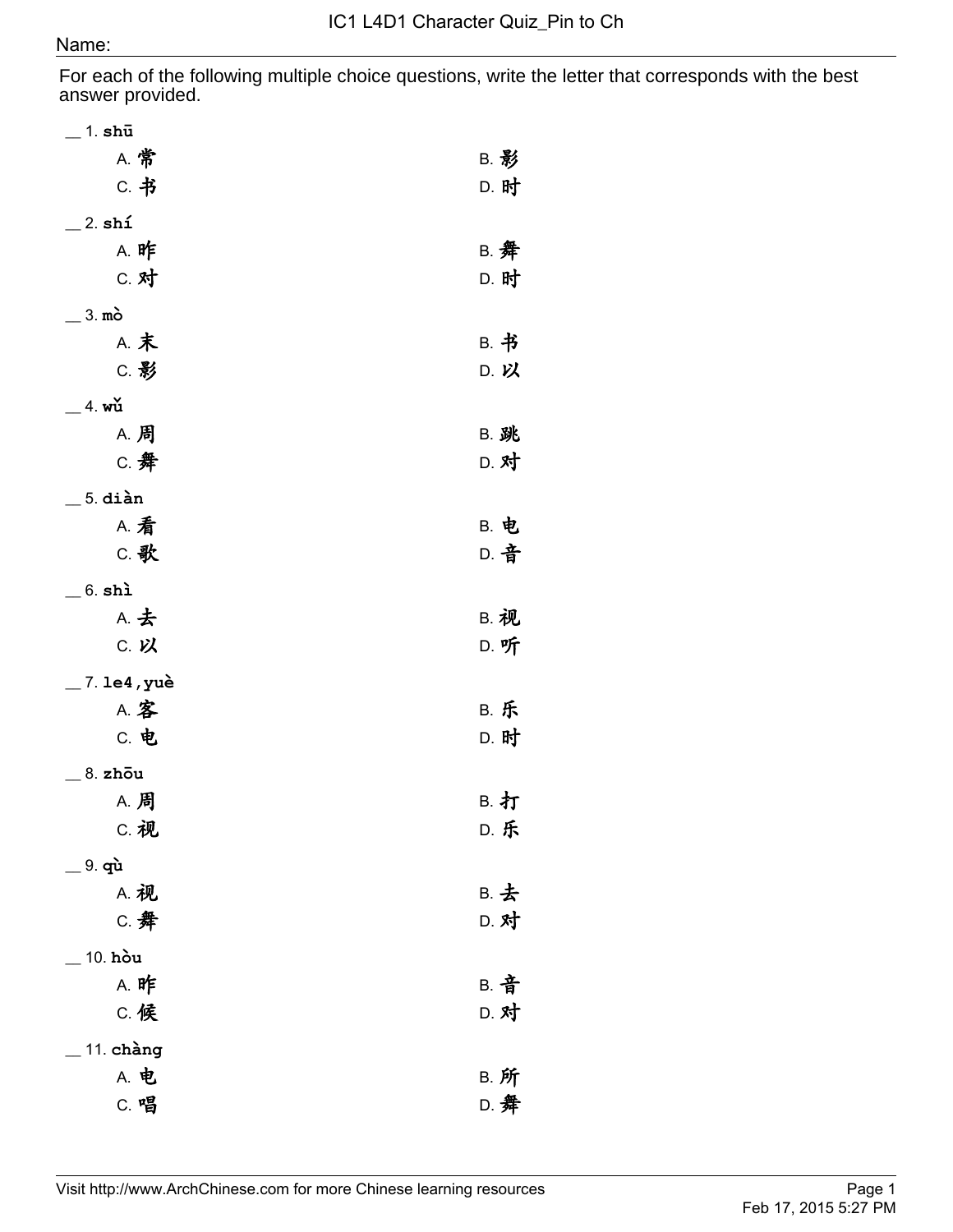For each of the following multiple choice questions, write the letter that corresponds with the best answer provided.

| $\_$ 1. shū       |             |
|-------------------|-------------|
| <b>A. 常</b>       | <b>B. 影</b> |
| C. 书              | D. 时        |
| $\_$ 2. shí       |             |
| <b>A. 昨</b>       | B. 舞        |
| C. 对              | D. 时        |
| $=$ 3. mò         |             |
| A. 末              | B. 书        |
| C. 影              | D. 以        |
| $=$ 4. wu         |             |
| <b>A. 周</b>       | <b>B. 跳</b> |
| C. 舞              | D. 对        |
| $\_$ 5. diàn      |             |
| <b>A. 看</b>       | <b>B. 电</b> |
| C. 歌              | D. 音        |
| $\_$ 6. shì       |             |
| A. 去              | <b>B. 视</b> |
| C. 以              | D. 听        |
| $\_$ 7. le4 , yuè |             |
| A. 客              | <b>B. 乐</b> |
| C. 电              | D. 时        |
| 8. zhou           |             |
| <b>A. 周</b>       | B. 打        |
| C. 视              | <b>D. 乐</b> |
| $=$ 9. qù         |             |
| A. 视              | B. 去        |
| C. 舞              | D. 对        |
| 10. hòu           |             |
| <b>A. 昨</b>       | <b>B. 音</b> |
| C. 候              | D. 对        |
| $\_$ 11. chàng    |             |
| A. 电              | <b>B. 所</b> |
| C. 唱              | D. 舞        |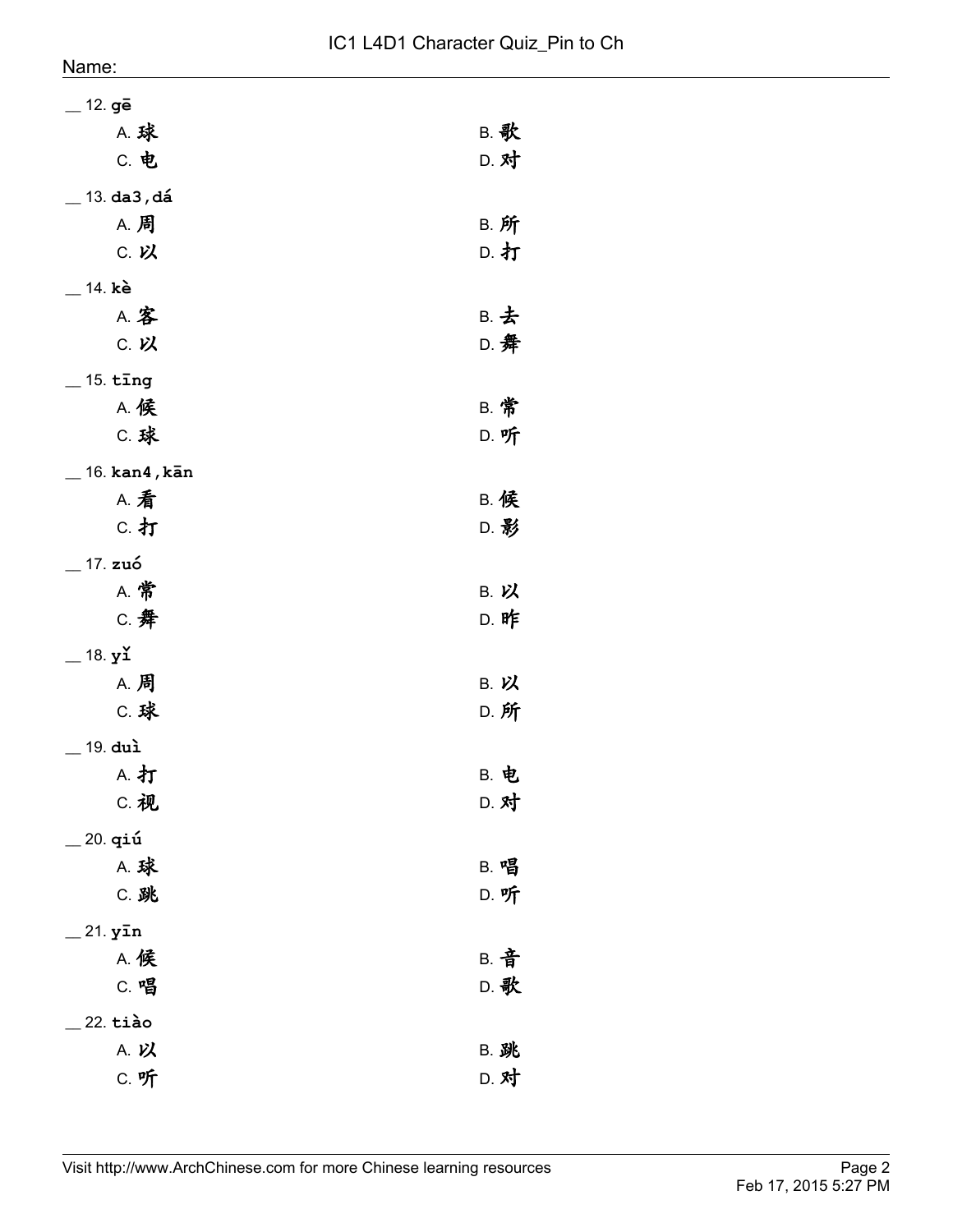| $\_$ 12. gē                 |             |
|-----------------------------|-------------|
| <b>A. 球</b>                 | <b>B. 歌</b> |
| C. 电                        | D. 对        |
| $\_$ 13. da3 , dá           |             |
| <b>A. 周</b>                 | <b>B. 所</b> |
| C. 以                        | D. 打        |
| __ 14. kè                   |             |
| A. 客                        | B. 去        |
| C. 以                        | D. 舞        |
| $\_$ 15. tīng               |             |
| <b>A. 候</b>                 | <b>B. 常</b> |
| C. 球                        | D. 听        |
| _ 16. <b>kan4 , kān</b>     |             |
| <b>A. 看</b>                 | <b>B. 候</b> |
| C. 打                        | D. 影        |
| $\_$ 17. zuó                |             |
| <b>A. 常</b>                 | B. 以        |
| C. 舞                        | <b>D. 昨</b> |
| $=$ 18. yı̆                 |             |
| <b>A. 周</b>                 | B. 以        |
| C. 球                        | D. 所        |
| $\_$ 19. duì                |             |
| A. 打                        | <b>B. 电</b> |
| C. 视                        | D. 对        |
| <sub>-</sub> 20. <b>qiú</b> |             |
| <b>A. 球</b>                 | B. 唱        |
| C. 跳                        | D. 听        |
| $=$ 21. yīn                 |             |
| A. 候                        | <b>B. 音</b> |
| C. 唱                        | D. 歌        |
| $22. t$ iào                 |             |
| A. 以                        | <b>B. 跳</b> |
| <b>C. 听</b>                 | D. 对        |